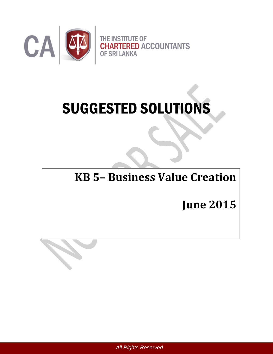

# SUGGESTED SOLUTIONS

# **KB 5– Business Value Creation**

**June 2015**

*All Rights Reserved*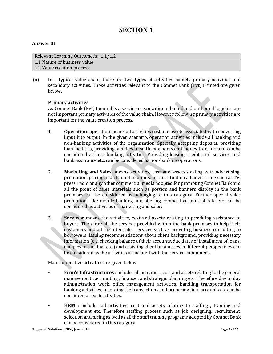## **SECTION 1**

#### **Answer 01**

| Relevant Learning Outcome/s: 1.1/1.2 |
|--------------------------------------|
| 1.1 Nature of business value         |
| 1.2 Value creation process           |

(a) In a typical value chain, there are two types of activities namely primary activities and secondary activities. Those activities relevant to the Comnet Bank (Pvt) Limited are given below.

#### **Primary activities**

As Comnet Bank (Pvt) Limited is a service organization inbound and outbound logistics are not important primary activities of the value chain. However following primary activities are important for the value creation process.

- 1. **Operation:** operation means all activities cost and assets associated with converting input into output. In the given scenario, operation activities include all banking and non-banking activities of the organization. Specially accepting deposits, providing loan facilities, providing facilities to settle payments and money transfers etc. can be considered as core banking activities. Providing leasing, credit card services, and bank assurance etc. can be considered as non-banking operations.
- 2. **Marketing and Sales:** means activities, cost and assets dealing with advertising, promotion, pricing and channel relations. In this situation all advertising such as TV, press, radio or any other commercial media adopted for promoting Comnet Bank and all the point of sales materials such as posters and banners display in the bank premises can be considered as belonging to this category. Further special sales promotions like mobile banking and offering competitive interest rate etc. can be considered as activities of marketing and sales.
- 3. **Services**: means the activities, cost and assets relating to providing assistance to buyers. Therefore all the services provided within the bank premises to help their customers and all the after sales services such as providing business consulting to borrowers, issuing recommendations about client background, providing necessary information (e.g. checking balance of their accounts, due dates of installment of loans, cheques in the float etc.) and assisting client businesses in different perspectives can be considered as the activities associated with the service component.

Main supportive activities are given below

- **Firm's Infrastructures** :includes all activities , cost and assets relating to the general management , accounting , finance , and strategic planning etc. Therefore day to day administration work, office management activities, handling transportation for banking activities, recording the transactions and preparing final accounts etc can be considred as each activities.
- **HRM :** includes all activities, cost and assets relating to staffing , training and development etc. Therefore staffing process such as job designing, recruitment, selection and hiring as well as all the staff training programs adopted by Comnet Bank can be considered in this category.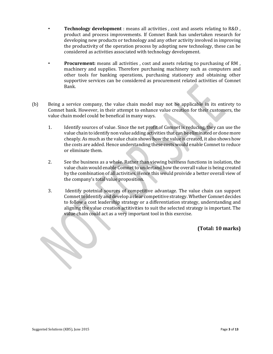- **Technology development** : means all activities , cost and assets relating to R&D , product and process improvements. If Comnet Bank has undertaken research for developing new products or technology and any other activity involved in improving the productivity of the operation process by adopting new technology, these can be considered as activities associated with technology development.
- **Procurement:** means all activities , cost and assets relating to purchasing of RM , machinery and supplies. Therefore purchasing machinery such as computers and other tools for banking operations, purchasing stationery and obtaining other supportive services can be considered as procurement related activities of Comnet Bank.
- (b) Being a service company, the value chain model may not be applicable in its entirety to Comnet bank. However, in their attempt to enhance value creation for their customers, the value chain model could be benefical in many ways.
	- 1. Identify sources of value. Since the net profit of Comnet is reducing, they can use the value chain to identify non value adding activities that can be eliminated or done more cheaply. As much as the value chain shows how the value is created, it also shows how the costs are added. Hence understanding these costs would enable Comnet to reduce or eliminate them.
	- 2. See the business as a whole. Rather than viewing business functions in isolation, the value chain would enable Comnet to undertand how the overall value is being created by the combination of all activities. Hence this would proivide a better overall view of the company's total value proposition.
	- 3. Identify potetnial sources of competitive advantage. The value chain can support Comnet to identify and develop a clear competitive strategy. Whether Comnet decides to follow a cost leadership strategy or a differentiation strategy, understanding and aligning the value creation actitivities to suit the selected strategy is important. The value chain could act as a very important tool in this exercise.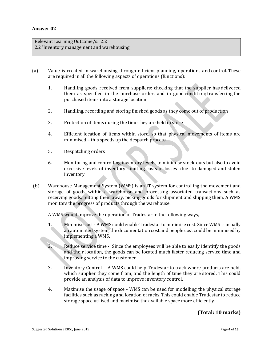Relevant Learning Outcome/s: 2.2 2.2 'Inventory management and warehousing

- (a) Value is created in warehousing through efficient planning, operations and control. These are required in all the following aspects of operations (functions):
	- 1. Handling goods received from suppliers: checking that the supplier has delivered them as specified in the purchase order, and in good condition; transferring the purchased items into a storage location
	- 2. Handling, recording and storing finished goods as they come out of production
	- 3. Protection of items during the time they are held in store
	- 4. Efficient location of items within store, so that physical movements of items are minimised – this speeds up the despatch process
	- 5. Despatching orders
	- 6. Monitoring and controlling inventory levels, to minimise stock-outs but also to avoid excessive levels of inventory: limiting costs of losses due to damaged and stolen inventory
- (b) Warehouse Management System (WMS) is an IT system for controlling the movement and storage of goods within a warehouse and processing associated transactions such as receiving goods, putting them away, picking goods for shipment and shipping them. A WMS monitors the progress of products through the warehouse.

A WMS would improve the operation of Tradestar in the following ways,

- 1. Minimise cost A WMS could enable Tradestar to minimise cost. Since WMS is usually an automated system, the documentation cost and people cost could be minimised by implementing a WMS.
- 2. Reduce service time Since the employees will be able to easily identitfy the goods and their location, the goods can be located much faster reducing service time and improving service to the customer.
- 3. Inventory Control A WMS could help Tradestar to track where products are held, which supplier they come from, and the length of time they are stored. This could provide an analysis of data to improve inventory control.
- 4. Maximise the usage of space WMS can be used for modelling the physical storage facilities such as racking and location of racks. This could enable Tradestar to reduce storage space utilised and maximise the available space more efficiently.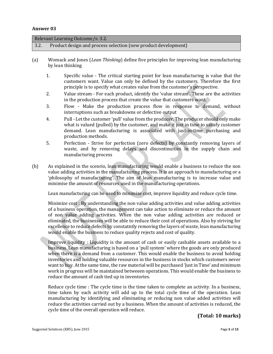| Relevant Learning Outcome/s: 3.2. |                                                                |  |
|-----------------------------------|----------------------------------------------------------------|--|
| 3.2.                              | Product design and process selection (new product development) |  |
|                                   |                                                                |  |

- (a) Womack and Jones (*Lean Thinking*) define five principles for improving lean manufacturing by lean thinking
	- 1. Specific value The critical starting point for lean manufacturing is value that the customers want. Value can only be defined by the customers. Therefore the first principle is to specify what creates value from the customer's perspective.
	- 2. Value stream For each product, identify the 'value stream'. These are the activities in the production process that create the value that customers want.
	- 3. Flow Make the production process flow in response to demand, without interruptions such as breakdowns or defective output
	- 4. Pull Let the customer 'pull' value from the producer. The producer should only make what is valued (pulled) by the customer, and make it just in time to satisfy customer demand. Lean manufacturing is associated with just-in-time purchasing and production methods.
	- 5. Perfection Strive for perfection (zero defects) by constantly removing layers of waste, and by removing delays and discontinuities in the supply chain and manufacturing process
- (b) As explained in the scenrio, lean manufacturing would enable a business to reduce the non value adding activities in the manufacturing process. It is an approach to manufacturing or a 'philosophy of manufacturing'. The aim of lean manufacturing is to increase value and minimise the amount of resources used in the manufacturing operations.

Lean manufacturing can be used to minimize cost, improve liquidity and reduce cycle time.

Minimize cost : By understanding the non value adding activities and value adding activities of a business operation, the management can take action to eliminate or reduce the amount of non value adding activities. When the non value adding activities are reduced or eliminated, the businesses will be able to reduce their cost of operations. Also by striving for excellence to reduce defects by constatntly removing the layers of waste, lean manufacturing would enable the business to reduce quality rejects and cost of quality.

Improve liquidity : Liquidity is the amount of cash or easily cashable assets available to a business. Lean manufacturing is based on a 'pull system' where the goods are only produced when there is a demand from a customer. This would enable the business to avoid holding inventories and holding valuable resources in the business in stocks which customers never want to buy. At the same time, the raw material will be purchased 'Just in Time' and minimum work in progress will be maintained betweeen operations. This would enable the business to reduce the amount of cash tied up in inventories.

Reduce cycle time : The cycle time is the time taken to complete an activity. In a business, time taken by each activity will add up to the total cycle time of the operation. Lean manufacturing by identifying and eliminating or reducing non value added activities will reduce the activities carried out by a business. When the amount of activities is reduced, the cycle time of the overall operation will reduce.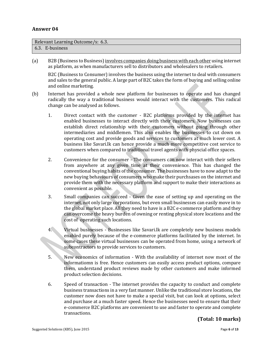| Relevant Learning Outcome/s: 6.3. |                 |  |
|-----------------------------------|-----------------|--|
|                                   | 6.3. E-business |  |

(a) B2B (Business to Business) involves companies doing business with each other using internet as platform, as when manufacturers sell to distributors and wholesalers to retailers.

B2C (Business to Consumer) involves the business using the internet to deal with consumers and sales to the general public. A large part of B2C takes the form of buying and selling online and online marketing.

- (b) Internet has provided a whole new platform for businesses to operate and has changed radically the way a traditional business would interact with the customers. This radical change can be analysed as follows.
	- 1. Direct contact with the customer B2C platforms provided by the internet has enabled businesses to interact directly with their customers. Now businesses can establish direct relationship with their customers without going through other intermediaries and middlemen. This also enables the businesses to cut down on operating cost and provide goods and services to customers at much lower cost. A business like Savari.lk can hence provide a much more competitive cost service to customers when compared to traditional travel agents with physcial office spaces.
	- 2. Convenience for the consumer The consumers can now interact with their sellers from anywhere at any given time at their convenience. This has changed the conventional buying habits of the consumer. The businesses have to now adapt to the new buying behaviours of consumers who make their purchsases on the internet and provide them with the necessary platform and support to make their interactions as convenient as possible.
	- 3. Small companies can succeed Given the ease of setting up and operating on the internet, not only large corporations, but even small businesses can easily move in to the global market place. All they need to have is a B2C e-commerce platform and they can overcome the heavy burden of owning or renting physical store locations and the cost of operating such locations.
	- 4. Virtual businesses Businesses like Savari.lk are completely new business models enabled purely because of the e-commerce platforms facilitated by the internet. In some cases these virtual businesses can be operated from home, using a network of subcontractors to provide services to customers.
	- 5. New economics of information With the availability of internet now most of the informatiomn is free. Hence customers can easily access product options, compare them, understand product reviews made by other customers and make informed product selection decisions.
	- 6. Speed of transaction The internet provides the capacity to conduct and complete business transactions in a very fast manner. Unlike the traditional store locations, the customer now does not have to make a special visit, but can look at options, select and purchase at a much faster speed. Hence the businesses need to ensure that their e-commerce B2C platforms are convenient to use and faster to operate and complete transactions.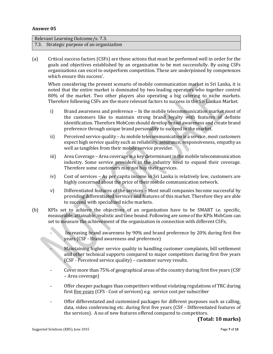Relevant Learning Outcome/s: 7.3. 7.3. Strategic purpose of an organization

(a) Critical success factors (CSFs) are those actions that must be performed well in order for the goals and objectives established by an organisation to be met successfully. By using CSFs organizations can excel to outperform competition. These are underpinned by competences which ensure this success'.

When considering the present scenario of mobile communication market in Sri Lanka, it is noted that the entire market is dominated by two leading operators who together control 80% of the market. Two other players also operating a big catering to niche markets. Therefore following CSFs are the more relevant factors to success in the Sri Lankan Market.

- i) Brand awareness and preference In the mobile telecommunication market most of the customers like to maintain strong brand loyalty with features of definite identification. Therefore MobCom should develop brand awareness and create brand preference through unique brand personality to succeed in the market.
- ii) Perceived service quality As mobile telecommunication is a service, most customers expect high service quality such as reliability, assurance, responsiveness, empathy as well as tangibles from their mobile service provider.
- iii) Area Coverage Area coverage is a key determinant in the mobile telecommunication industry. Some service providers in the industry need to expand their coverage. Therefore some customers may not buy their services.
- iv) Cost of services As per capita income in Sri Lanka is relatively low, customers are highly concerned about the price of their mobile communication network.
- v) Differentiated features of the services Most small companies become successful by providing differentiated services and features of this market. Therefore they are able to succeed with specialized niche markets.
- (b) KPIs set to achieve the objectives of an organization have to be SMART i.e. specific, measurable, attainable, realistic and time bound. Following are some of the KPIs MobCom can set to measure the achievement of the organization in connection with different CSFs;

Increasing brand awareness by 90% and brand preference by 20% during first five years (CSF - Brand awareness and preference)

- Maintaining higher service quality in handling customer complaints, bill settlement and other technical supports compared to major competitors during first five years (CSF - Perceived service quality) – customer survey results.
- Cover more than 75% of geographical areas of the country during first five years (CSF – Area coverage)
- Offer cheaper packages than competitors without violating regulations of TRC during first five years (CFS - Cost of services) e.g. service cost per subscriber
- Offer differentiated and customized packages for different purposes such as calling, data, video conferencing etc. during first five years (CSF - Differentiated features of the services). A no of new features offered compared to competitors.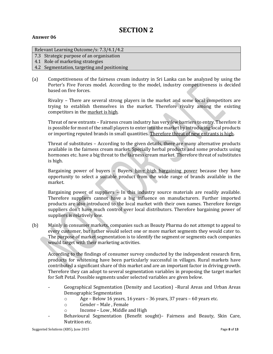## **SECTION 2**

#### **Answer 06**

#### Relevant Learning Outcome/s: 7.3/4.1/4.2

- 7.3 Strategic purpose of an organisation
- 4.1 Role of marketing strategies
- 4.2 Segmentation, targeting and positioning
- (a) Competitiveness of the fairness cream industry in Sri Lanka can be analyzed by using the Porter's Five Forces model. According to the model, industry competitiveness is decided based on five forces.

Rivalry – There are several strong players in the market and some local competitors are trying to establish themselves in the market. Therefore rivalry among the existing competitors in the market is high.

Threat of new entrants – Fairness cream industry has very few barriers to entry. Therefore it is possible for most of the small players to enter into the market by introducing local products or importing reputed brands in small quantities. Therefore threat of new entrants is high.

Threat of substitutes – According to the given details, there are many alternative products available in the fairness cream market. Specially herbal products and some products using hormones etc. have a big threat to the fairness cream market. Therefore threat of substitutes is high.

Bargaining power of buyers – Buyers have high bargaining power because they have opportunity to select a suitable product from the wide range of brands available in the market.

Bargaining power of suppliers – In this industry source materials are readily available. Therefore suppliers cannot have a big influence on manufacturers. Further imported products are also introduced to the local market with their own names. Therefore foreign suppliers don't have much control over local distributors. Therefore bargaining power of suppliers is relatively low.

(b) Mainly in consumer markets, companies such as Beauty Pharma do not attempt to appeal to every customer, but rather would select one or more market segments they would cater to. The purpose of market segmentation is to identify the segment or segments each companies would target with their marketing activities.

According to the findings of consumer survey conducted by the independent research firm, products for whitening have been particularly successful in villages. Rural markets have contributed a significant share of this market and are an important factor in driving growth. Therefore they can adopt to several segmentation variables in proposing the target market for Soft Petal. Possible segments under selected variables are given below.

- Geographical Segmentation (Density and Location) –Rural Areas and Urban Areas Demographic Segmentation
	- o Age Below 16 years, 16 years 36 years, 37 years 60 years etc.
	- o Gender Male , Female
	- Income Low, Middle and High
- Behavioural Segmentation (Benefit sought)– Fairness and Beauty, Skin Care, Nutrition etc.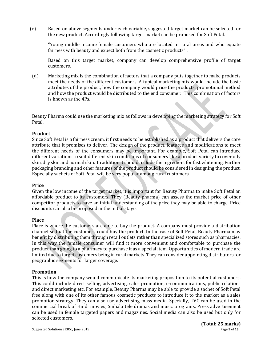(c) Based on above segments under each variable, suggested target market can be selected for the new product. Accordingly following target market can be proposed for Soft Petal.

"Young middle income female customers who are located in rural areas and who equate fairness with beauty and expect both from the cosmetic products" .

Based on this target market, company can develop comprehensive profile of target customers.

(d) Marketing mix is the combination of factors that a company puts together to make products meet the needs of the different customers. A typical marketing mix would include the basic attributes of the product, how the company would price the products, promotional method and how the product would be distributed to the end consumer. This combination of factors is known as the 4Ps.

Beauty Pharma could use the marketing mix as follows in developing the marketing strategy for Soft Petal.

#### **Product**

Since Soft Petal is a fairness cream, it first needs to be established as a product that delivers the core attribute that it promises to deliver. The design of the product, features and modifications to meet the different needs of the consumers may be important. For example, Soft Petal can introduce different variations to suit different skin conditions of consumers like a product variety to cover oily skin, dry skin and normal skin. In addition it should include the ingredient for fast whitening. Further packaging branding and other features of the product should be considered in designing the product. Especially sachets of Soft Petal will be very popular among rural customers.

#### **Price**

Given the low income of the target market, it is important for Beauty Pharma to make Soft Petal an affordable product to its customers. They (Beauty pharma) can assess the market price of other competitor products to have an initial understanding of the price they may be able to charge. Price discounts can also be proposed in the initial stage.

#### **Place**

Place is where the customers are able to buy the product. A company must provide a distribution channel so that the customers could buy the product. In the case of Soft Petal, Beauty Pharma may benefit by distributing them through retail outlets rather than specialized stores such as pharmacies. In this way the female consumer will find it more convenient and comfortable to purchase the product than going to a pharmacy to purchase it as a special item. Opportunities of modern trade are limited due to target customers being in rural markets. They can consider appointing distributors for geographic segments for larger coverage.

#### **Promotion**

This is how the company would communicate its marketing proposition to its potential customers. This could include direct selling, advertising, sales promotion, e-communications, public relations and direct marketing etc. For example, Beauty Pharma may be able to provide a sachet of Soft Petal free along with one of its other famous cosmetic products to introduce it to the market as a sales promotion strategy. They can also use advertising mass media. Specially, TVC can be used in the commercial break of Hindi movies, Sinhala tele dramas and music programs. Press advertisement can be used in female targeted papers and magazines. Social media can also be used but only for selected customers.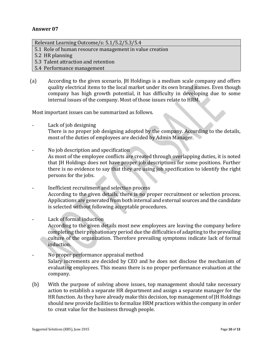Relevant Learning Outcome/s: 5.1/5.2/5.3/5.4

5.1 Role of human resource management in value creation

5.2 HR planning

- 5.3 Talent attraction and retention
- 5.4 Performance management
- (a) According to the given scenario, JH Holdings is a medium scale company and offers quality electrical items to the local market under its own brand names. Even though company has high growth potential, it has difficulty in developing due to some internal issues of the company. Most of those issues relate to HRM.

Most important issues can be summarized as follows.

- Lack of job designing There is no proper job designing adopted by the company. According to the details, most of the duties of employees are decided by Admin Manager.
- No job description and specification As most of the employee conflicts are created through overlapping duties, it is noted that JH Holdings does not have proper job descriptions for some positions. Further there is no evidence to say that they are using job specification to identify the right persons for the jobs.
- Inefficient recruitment and selection process According to the given details, there is no proper recruitment or selection process. Applications are generated from both internal and external sources and the candidate is selected without following acceptable procedures.
- Lack of formal induction According to the given details most new employees are leaving the company before completing their probationary period due the difficulties of adapting to the prevailing culture of the organization. Therefore prevailing symptoms indicate lack of formal induction.
- No proper performance appraisal method Salary increments are decided by CEO and he does not disclose the mechanism of evaluating employees. This means there is no proper performance evaluation at the company.
- (b) With the purpose of solving above issues, top management should take necessary action to establish a separate HR department and assign a separate manager for the HR function. As they have already make this decision, top management of JH Holdings should new provide facilities to formalize HRM practices within the company in order to creat value for the business through people.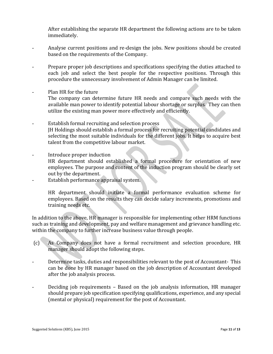After establishing the separate HR department the following actions are to be taken immediately.

- Analyse current positions and re-design the jobs. New positions should be created based on the requirements of the Company.
- Prepare proper job descriptions and specifications specifying the duties attached to each job and select the best people for the respective positions. Through this procedure the unnecessary involvement of Admin Manager can be limited.
- Plan HR for the future
	- The company can determine future HR needs and compare such needs with the available man power to identify potential labour shortage or surplus. They can then utilize the existing man power more effectively and efficiently.
- Establish formal recruiting and selection process JH Holdings should establish a formal process for recruiting potential candidates and selecting the most suitable individuals for the different jobs. It helps to acquire best talent from the competitive labour market.
- Introduce proper induction HR department should established a formal procedure for orientation of new
	- employees. The purpose and content of the induction program should be clearly set out by the department.
- Establish performance appraisal system.

HR department should initiate a formal performance evaluation scheme for employees. Based on the results they can decide salary increments, promotions and training needs etc.

In addition to the above, HR manager is responsible for implementing other HRM functions such as training and development, pay and welfare management and grievance handling etc. within the company to further increase business value through people.

- (c) As Company does not have a formal recruitment and selection procedure, HR manager should adopt the following steps.
- Determine tasks, duties and responsibilities relevant to the post of Accountant- This can be done by HR manager based on the job description of Accountant developed after the job analysis process.
- Deciding job requirements Based on the job analysis information, HR manager should prepare job specification specifying qualifications, experience, and any special (mental or physical) requirement for the post of Accountant.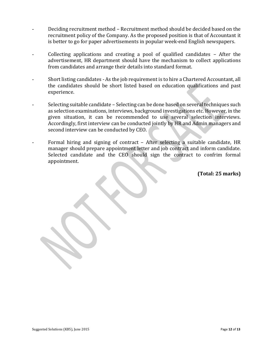- Deciding recruitment method Recruitment method should be decided based on the recruitment policy of the Company. As the proposed position is that of Accountant it is better to go for paper advertisements in popular week-end English newspapers.
- Collecting applications and creating a pool of qualified candidates  $-$  After the advertisement, HR department should have the mechanism to collect applications from candidates and arrange their details into standard format.
- Short listing candidates As the job requirement is to hire a Chartered Accountant, all the candidates should be short listed based on education qualifications and past experience.
- Selecting suitable candidate Selecting can be done based on several techniques such as selection examinations, interviews, background investigations etc. However, in the given situation, it can be recommended to use several selection interviews. Accordingly, first interview can be conducted jointly by HR and Admin managers and second interview can be conducted by CEO.
- Formal hiring and signing of contract After selecting a suitable candidate, HR manager should prepare appointment letter and job contract and inform candidate. Selected candidate and the CEO should sign the contract to confrim formal appointment.

**(Total: 25 marks)**